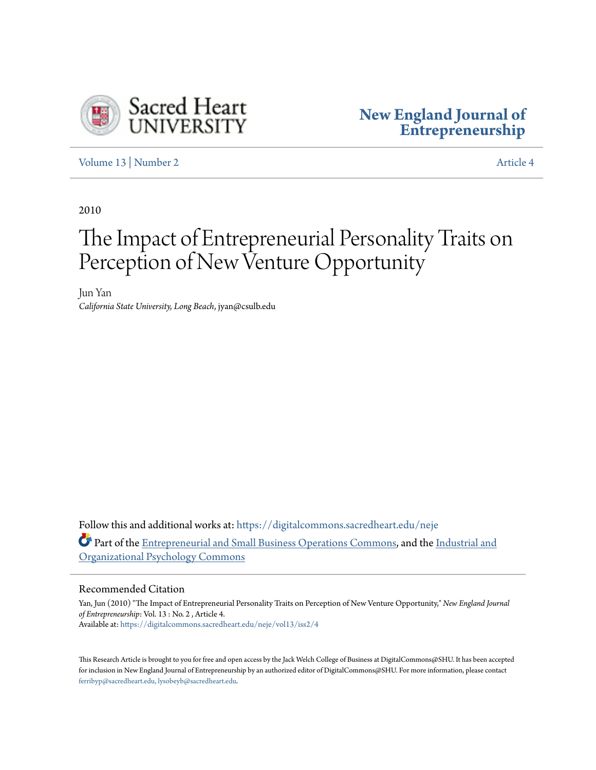

[Volume 13](https://digitalcommons.sacredheart.edu/neje/vol13?utm_source=digitalcommons.sacredheart.edu%2Fneje%2Fvol13%2Fiss2%2F4&utm_medium=PDF&utm_campaign=PDFCoverPages) | [Number 2](https://digitalcommons.sacredheart.edu/neje/vol13/iss2?utm_source=digitalcommons.sacredheart.edu%2Fneje%2Fvol13%2Fiss2%2F4&utm_medium=PDF&utm_campaign=PDFCoverPages) [Article 4](https://digitalcommons.sacredheart.edu/neje/vol13/iss2/4?utm_source=digitalcommons.sacredheart.edu%2Fneje%2Fvol13%2Fiss2%2F4&utm_medium=PDF&utm_campaign=PDFCoverPages)

2010

# The Impact of Entrepreneurial Personality Traits on Perception of New Venture Opportunity

Jun Yan *California State University, Long Beach*, jyan@csulb.edu

Follow this and additional works at: [https://digitalcommons.sacredheart.edu/neje](https://digitalcommons.sacredheart.edu/neje?utm_source=digitalcommons.sacredheart.edu%2Fneje%2Fvol13%2Fiss2%2F4&utm_medium=PDF&utm_campaign=PDFCoverPages) Part of the [Entrepreneurial and Small Business Operations Commons](http://network.bepress.com/hgg/discipline/630?utm_source=digitalcommons.sacredheart.edu%2Fneje%2Fvol13%2Fiss2%2F4&utm_medium=PDF&utm_campaign=PDFCoverPages), and the [Industrial and](http://network.bepress.com/hgg/discipline/412?utm_source=digitalcommons.sacredheart.edu%2Fneje%2Fvol13%2Fiss2%2F4&utm_medium=PDF&utm_campaign=PDFCoverPages) [Organizational Psychology Commons](http://network.bepress.com/hgg/discipline/412?utm_source=digitalcommons.sacredheart.edu%2Fneje%2Fvol13%2Fiss2%2F4&utm_medium=PDF&utm_campaign=PDFCoverPages)

#### Recommended Citation

Yan, Jun (2010) "The Impact of Entrepreneurial Personality Traits on Perception of New Venture Opportunity," *New England Journal of Entrepreneurship*: Vol. 13 : No. 2 , Article 4. Available at: [https://digitalcommons.sacredheart.edu/neje/vol13/iss2/4](https://digitalcommons.sacredheart.edu/neje/vol13/iss2/4?utm_source=digitalcommons.sacredheart.edu%2Fneje%2Fvol13%2Fiss2%2F4&utm_medium=PDF&utm_campaign=PDFCoverPages)

This Research Article is brought to you for free and open access by the Jack Welch College of Business at DigitalCommons@SHU. It has been accepted for inclusion in New England Journal of Entrepreneurship by an authorized editor of DigitalCommons@SHU. For more information, please contact [ferribyp@sacredheart.edu, lysobeyb@sacredheart.edu.](mailto:ferribyp@sacredheart.edu,%20lysobeyb@sacredheart.edu)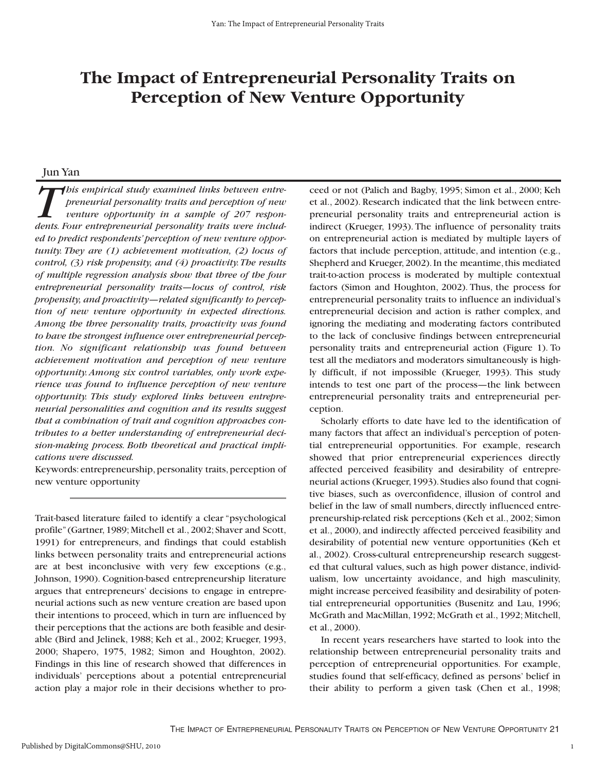# **The Impact of Entrepreneurial Personality Traits on Perception of New Venture Opportunity**

#### Jun Yan

*T his empirical study examined links between entrepreneurial personality traits and perception of new venture opportunity in a sample of 207 respondents. Four entrepreneurial personality traits were included to predict respondents' perception of new venture opportunity. They are (1) achievement motivation, (2) locus of control, (3) risk propensity, and (4) proactivity.The results of multiple regression analysis show that three of the four entrepreneurial personality traits—locus of control, risk propensity, and proactivity—related significantly to perception of new venture opportunity in expected directions. Among the three personality traits, proactivity was found to have the strongest influence over entrepreneurial perception. No significant relationship was found between achievement motivation and perception of new venture opportunity. Among six control variables, only work experience was found to influence perception of new venture opportunity. This study explored links between entrepreneurial personalities and cognition and its results suggest that a combination of trait and cognition approaches contributes to a better understanding of entrepreneurial decision-making process. Both theoretical and practical implications were discussed.*

Keywords: entrepreneurship, personality traits, perception of new venture opportunity

Trait-based literature failed to identify a clear "psychological profile"(Gartner, 1989; Mitchell et al., 2002; Shaver and Scott, 1991) for entrepreneurs, and findings that could establish links between personality traits and entrepreneurial actions are at best inconclusive with very few exceptions (e.g., Johnson, 1990). Cognition-based entrepreneurship literature argues that entrepreneurs' decisions to engage in entrepreneurial actions such as new venture creation are based upon their intentions to proceed, which in turn are influenced by their perceptions that the actions are both feasible and desirable (Bird and Jelinek, 1988; Keh et al., 2002; Krueger, 1993, 2000; Shapero, 1975, 1982; Simon and Houghton, 2002). Findings in this line of research showed that differences in individuals' perceptions about a potential entrepreneurial action play a major role in their decisions whether to proceed or not (Palich and Bagby, 1995; Simon et al., 2000; Keh et al., 2002). Research indicated that the link between entrepreneurial personality traits and entrepreneurial action is indirect (Krueger, 1993). The influence of personality traits on entrepreneurial action is mediated by multiple layers of factors that include perception, attitude, and intention (e.g., Shepherd and Krueger, 2002). In the meantime, this mediated trait-to-action process is moderated by multiple contextual factors (Simon and Houghton, 2002). Thus, the process for entrepreneurial personality traits to influence an individual's entrepreneurial decision and action is rather complex, and ignoring the mediating and moderating factors contributed to the lack of conclusive findings between entrepreneurial personality traits and entrepreneurial action (Figure 1). To test all the mediators and moderators simultaneously is highly difficult, if not impossible (Krueger, 1993). This study intends to test one part of the process—the link between entrepreneurial personality traits and entrepreneurial perception.

Scholarly efforts to date have led to the identification of many factors that affect an individual's perception of potential entrepreneurial opportunities. For example, research showed that prior entrepreneurial experiences directly affected perceived feasibility and desirability of entrepreneurial actions (Krueger, 1993). Studies also found that cognitive biases, such as overconfidence, illusion of control and belief in the law of small numbers, directly influenced entrepreneurship-related risk perceptions (Keh et al., 2002; Simon et al., 2000), and indirectly affected perceived feasibility and desirability of potential new venture opportunities (Keh et al., 2002). Cross-cultural entrepreneurship research suggested that cultural values, such as high power distance, individualism, low uncertainty avoidance, and high masculinity, might increase perceived feasibility and desirability of potential entrepreneurial opportunities (Busenitz and Lau, 1996; McGrath and MacMillan, 1992; McGrath et al., 1992; Mitchell, et al., 2000).

In recent years researchers have started to look into the relationship between entrepreneurial personality traits and perception of entrepreneurial opportunities. For example, studies found that self-efficacy, defined as persons' belief in their ability to perform a given task (Chen et al., 1998;

THE IMPACT OF ENTREPRENEURIAL PERSONALITY TRAITS ON PERCEPTION OF NEW VENTURE OPPORTUNITY 21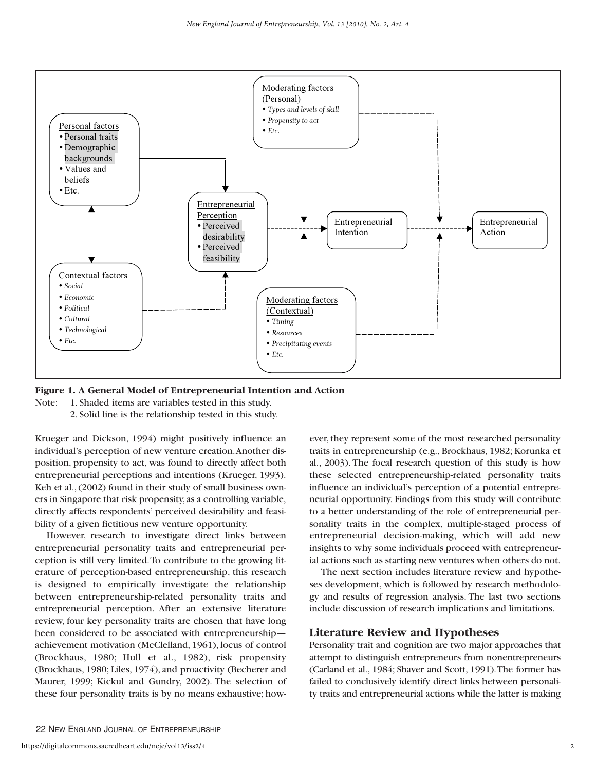

Note: 1. Shaded items are variables tested in this study.

2. Solid line is the relationship tested in this study.

Krueger and Dickson, 1994) might positively influence an individual's perception of new venture creation.Another disposition, propensity to act, was found to directly affect both entrepreneurial perceptions and intentions (Krueger, 1993). Keh et al., (2002) found in their study of small business owners in Singapore that risk propensity,as a controlling variable, directly affects respondents' perceived desirability and feasibility of a given fictitious new venture opportunity.

However, research to investigate direct links between entrepreneurial personality traits and entrepreneurial perception is still very limited.To contribute to the growing literature of perception-based entrepreneurship, this research is designed to empirically investigate the relationship between entrepreneurship-related personality traits and entrepreneurial perception. After an extensive literature review, four key personality traits are chosen that have long been considered to be associated with entrepreneurship achievement motivation (McClelland, 1961), locus of control (Brockhaus, 1980; Hull et al., 1982), risk propensity (Brockhaus, 1980; Liles, 1974), and proactivity (Becherer and Maurer, 1999; Kickul and Gundry, 2002). The selection of these four personality traits is by no means exhaustive; however, they represent some of the most researched personality traits in entrepreneurship (e.g., Brockhaus, 1982; Korunka et al., 2003). The focal research question of this study is how these selected entrepreneurship-related personality traits influence an individual's perception of a potential entrepreneurial opportunity. Findings from this study will contribute to a better understanding of the role of entrepreneurial personality traits in the complex, multiple-staged process of entrepreneurial decision-making, which will add new insights to why some individuals proceed with entrepreneurial actions such as starting new ventures when others do not.

The next section includes literature review and hypotheses development, which is followed by research methodology and results of regression analysis. The last two sections include discussion of research implications and limitations.

#### **Literature Review and Hypotheses**

Personality trait and cognition are two major approaches that attempt to distinguish entrepreneurs from nonentrepreneurs (Carland et al., 1984; Shaver and Scott, 1991).The former has failed to conclusively identify direct links between personality traits and entrepreneurial actions while the latter is making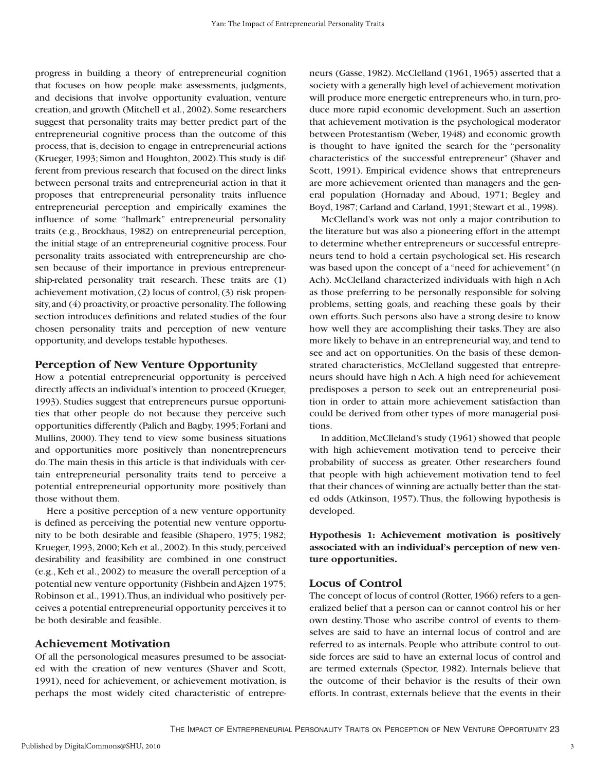progress in building a theory of entrepreneurial cognition that focuses on how people make assessments, judgments, and decisions that involve opportunity evaluation, venture creation, and growth (Mitchell et al., 2002). Some researchers suggest that personality traits may better predict part of the entrepreneurial cognitive process than the outcome of this process, that is, decision to engage in entrepreneurial actions (Krueger, 1993; Simon and Houghton, 2002).This study is different from previous research that focused on the direct links between personal traits and entrepreneurial action in that it proposes that entrepreneurial personality traits influence entrepreneurial perception and empirically examines the influence of some "hallmark" entrepreneurial personality traits (e.g., Brockhaus, 1982) on entrepreneurial perception, the initial stage of an entrepreneurial cognitive process. Four personality traits associated with entrepreneurship are chosen because of their importance in previous entrepreneurship-related personality trait research. These traits are (1) achievement motivation, (2) locus of control, (3) risk propensity,and (4) proactivity,or proactive personality.The following section introduces definitions and related studies of the four chosen personality traits and perception of new venture opportunity, and develops testable hypotheses.

### **Perception of New Venture Opportunity**

How a potential entrepreneurial opportunity is perceived directly affects an individual's intention to proceed (Krueger, 1993). Studies suggest that entrepreneurs pursue opportunities that other people do not because they perceive such opportunities differently (Palich and Bagby, 1995; Forlani and Mullins, 2000). They tend to view some business situations and opportunities more positively than nonentrepreneurs do.The main thesis in this article is that individuals with certain entrepreneurial personality traits tend to perceive a potential entrepreneurial opportunity more positively than those without them.

Here a positive perception of a new venture opportunity is defined as perceiving the potential new venture opportunity to be both desirable and feasible (Shapero, 1975; 1982; Krueger, 1993, 2000; Keh et al., 2002). In this study, perceived desirability and feasibility are combined in one construct (e.g., Keh et al., 2002) to measure the overall perception of a potential new venture opportunity (Fishbein and Ajzen 1975; Robinson et al.,1991).Thus, an individual who positively perceives a potential entrepreneurial opportunity perceives it to be both desirable and feasible.

#### **Achievement Motivation**

Of all the personological measures presumed to be associated with the creation of new ventures (Shaver and Scott, 1991), need for achievement, or achievement motivation, is perhaps the most widely cited characteristic of entrepre-

neurs (Gasse, 1982). McClelland (1961, 1965) asserted that a society with a generally high level of achievement motivation will produce more energetic entrepreneurs who, in turn, produce more rapid economic development. Such an assertion that achievement motivation is the psychological moderator between Protestantism (Weber, 1948) and economic growth is thought to have ignited the search for the "personality characteristics of the successful entrepreneur" (Shaver and Scott, 1991). Empirical evidence shows that entrepreneurs are more achievement oriented than managers and the general population (Hornaday and Aboud, 1971; Begley and Boyd, 1987; Carland and Carland, 1991; Stewart et al., 1998).

McClelland's work was not only a major contribution to the literature but was also a pioneering effort in the attempt to determine whether entrepreneurs or successful entrepreneurs tend to hold a certain psychological set. His research was based upon the concept of a "need for achievement" (n Ach). McClelland characterized individuals with high n Ach as those preferring to be personally responsible for solving problems, setting goals, and reaching these goals by their own efforts. Such persons also have a strong desire to know how well they are accomplishing their tasks.They are also more likely to behave in an entrepreneurial way, and tend to see and act on opportunities. On the basis of these demonstrated characteristics, McClelland suggested that entrepreneurs should have high n Ach.A high need for achievement predisposes a person to seek out an entrepreneurial position in order to attain more achievement satisfaction than could be derived from other types of more managerial positions.

In addition, McClleland's study (1961) showed that people with high achievement motivation tend to perceive their probability of success as greater. Other researchers found that people with high achievement motivation tend to feel that their chances of winning are actually better than the stated odds (Atkinson, 1957). Thus, the following hypothesis is developed.

**Hypothesis 1: Achievement motivation is positively associated with an individual's perception of new venture opportunities.** 

# **Locus of Control**

The concept of locus of control (Rotter,1966) refers to a generalized belief that a person can or cannot control his or her own destiny. Those who ascribe control of events to themselves are said to have an internal locus of control and are referred to as internals. People who attribute control to outside forces are said to have an external locus of control and are termed externals (Spector, 1982). Internals believe that the outcome of their behavior is the results of their own efforts. In contrast, externals believe that the events in their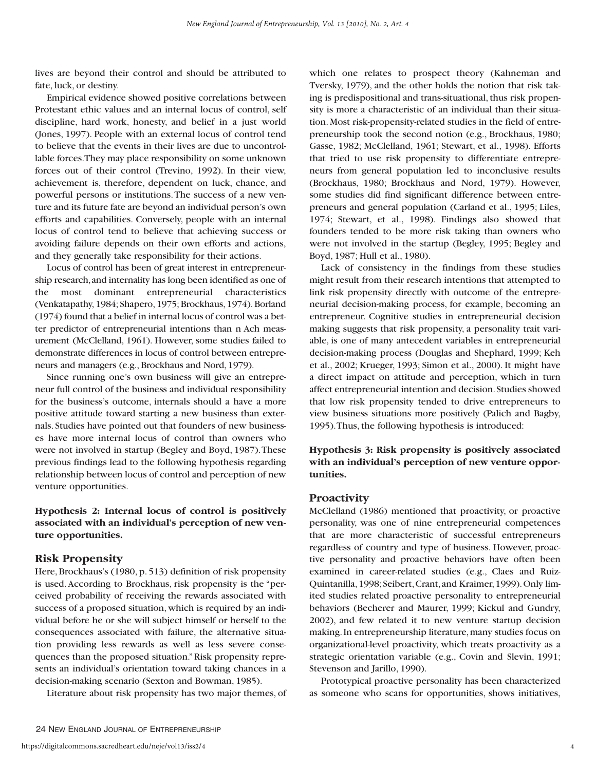lives are beyond their control and should be attributed to fate, luck, or destiny.

Empirical evidence showed positive correlations between Protestant ethic values and an internal locus of control, self discipline, hard work, honesty, and belief in a just world (Jones, 1997). People with an external locus of control tend to believe that the events in their lives are due to uncontrollable forces.They may place responsibility on some unknown forces out of their control (Trevino, 1992). In their view, achievement is, therefore, dependent on luck, chance, and powerful persons or institutions.The success of a new venture and its future fate are beyond an individual person's own efforts and capabilities. Conversely, people with an internal locus of control tend to believe that achieving success or avoiding failure depends on their own efforts and actions, and they generally take responsibility for their actions.

Locus of control has been of great interest in entrepreneurship research,and internality has long been identified as one of the most dominant entrepreneurial characteristics (Venkatapathy, 1984; Shapero, 1975; Brockhaus, 1974). Borland (1974) found that a belief in internal locus of control was a better predictor of entrepreneurial intentions than n Ach measurement (McClelland, 1961). However, some studies failed to demonstrate differences in locus of control between entrepreneurs and managers (e.g., Brockhaus and Nord, 1979).

Since running one's own business will give an entrepreneur full control of the business and individual responsibility for the business's outcome, internals should a have a more positive attitude toward starting a new business than externals. Studies have pointed out that founders of new businesses have more internal locus of control than owners who were not involved in startup (Begley and Boyd, 1987).These previous findings lead to the following hypothesis regarding relationship between locus of control and perception of new venture opportunities.

**Hypothesis 2: Internal locus of control is positively associated with an individual's perception of new venture opportunities.**

#### **Risk Propensity**

Here, Brockhaus's (1980, p. 513) definition of risk propensity is used. According to Brockhaus, risk propensity is the "perceived probability of receiving the rewards associated with success of a proposed situation, which is required by an individual before he or she will subject himself or herself to the consequences associated with failure, the alternative situation providing less rewards as well as less severe consequences than the proposed situation." Risk propensity represents an individual's orientation toward taking chances in a decision-making scenario (Sexton and Bowman, 1985).

Literature about risk propensity has two major themes, of

which one relates to prospect theory (Kahneman and Tversky, 1979), and the other holds the notion that risk taking is predispositional and trans-situational, thus risk propensity is more a characteristic of an individual than their situation. Most risk-propensity-related studies in the field of entrepreneurship took the second notion (e.g., Brockhaus, 1980; Gasse, 1982; McClelland, 1961; Stewart, et al., 1998). Efforts that tried to use risk propensity to differentiate entrepreneurs from general population led to inconclusive results (Brockhaus, 1980; Brockhaus and Nord, 1979). However, some studies did find significant difference between entrepreneurs and general population (Carland et al., 1995; Liles, 1974; Stewart, et al., 1998). Findings also showed that founders tended to be more risk taking than owners who were not involved in the startup (Begley, 1995; Begley and Boyd, 1987; Hull et al., 1980).

Lack of consistency in the findings from these studies might result from their research intentions that attempted to link risk propensity directly with outcome of the entrepreneurial decision-making process, for example, becoming an entrepreneur. Cognitive studies in entrepreneurial decision making suggests that risk propensity, a personality trait variable, is one of many antecedent variables in entrepreneurial decision-making process (Douglas and Shephard, 1999; Keh et al., 2002; Krueger, 1993; Simon et al., 2000). It might have a direct impact on attitude and perception, which in turn affect entrepreneurial intention and decision.Studies showed that low risk propensity tended to drive entrepreneurs to view business situations more positively (Palich and Bagby, 1995).Thus, the following hypothesis is introduced:

# **Hypothesis 3: Risk propensity is positively associated with an individual's perception of new venture opportunities.**

#### **Proactivity**

McClelland (1986) mentioned that proactivity, or proactive personality, was one of nine entrepreneurial competences that are more characteristic of successful entrepreneurs regardless of country and type of business. However, proactive personality and proactive behaviors have often been examined in career-related studies (e.g., Claes and Ruiz-Quintanilla, 1998; Seibert, Crant, and Kraimer, 1999). Only limited studies related proactive personality to entrepreneurial behaviors (Becherer and Maurer, 1999; Kickul and Gundry, 2002), and few related it to new venture startup decision making.In entrepreneurship literature,many studies focus on organizational-level proactivity, which treats proactivity as a strategic orientation variable (e.g., Covin and Slevin, 1991; Stevenson and Jarillo, 1990).

Prototypical proactive personality has been characterized as someone who scans for opportunities, shows initiatives,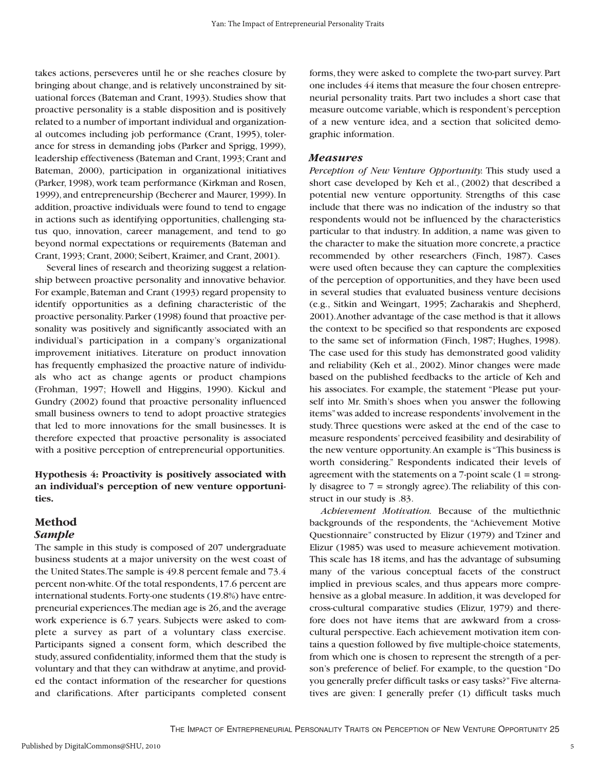takes actions, perseveres until he or she reaches closure by bringing about change, and is relatively unconstrained by situational forces (Bateman and Crant, 1993). Studies show that proactive personality is a stable disposition and is positively related to a number of important individual and organizational outcomes including job performance (Crant, 1995), tolerance for stress in demanding jobs (Parker and Sprigg, 1999), leadership effectiveness (Bateman and Crant,1993;Crant and Bateman, 2000), participation in organizational initiatives (Parker, 1998), work team performance (Kirkman and Rosen, 1999), and entrepreneurship (Becherer and Maurer, 1999). In addition, proactive individuals were found to tend to engage in actions such as identifying opportunities, challenging status quo, innovation, career management, and tend to go beyond normal expectations or requirements (Bateman and Crant, 1993; Crant, 2000; Seibert, Kraimer, and Crant, 2001).

Several lines of research and theorizing suggest a relationship between proactive personality and innovative behavior. For example, Bateman and Crant (1993) regard propensity to identify opportunities as a defining characteristic of the proactive personality.Parker (1998) found that proactive personality was positively and significantly associated with an individual's participation in a company's organizational improvement initiatives. Literature on product innovation has frequently emphasized the proactive nature of individuals who act as change agents or product champions (Frohman, 1997; Howell and Higgins, 1990). Kickul and Gundry (2002) found that proactive personality influenced small business owners to tend to adopt proactive strategies that led to more innovations for the small businesses. It is therefore expected that proactive personality is associated with a positive perception of entrepreneurial opportunities.

# **Hypothesis 4: Proactivity is positively associated with an individual's perception of new venture opportunities.**

# **Method** *Sample*

The sample in this study is composed of 207 undergraduate business students at a major university on the west coast of the United States.The sample is 49.8 percent female and 73.4 percent non-white.Of the total respondents,17.6 percent are international students.Forty-one students (19.8%) have entrepreneurial experiences.The median age is 26,and the average work experience is 6.7 years. Subjects were asked to complete a survey as part of a voluntary class exercise. Participants signed a consent form, which described the study, assured confidentiality, informed them that the study is voluntary and that they can withdraw at anytime, and provided the contact information of the researcher for questions and clarifications. After participants completed consent

forms, they were asked to complete the two-part survey. Part one includes 44 items that measure the four chosen entrepreneurial personality traits. Part two includes a short case that measure outcome variable, which is respondent's perception of a new venture idea, and a section that solicited demographic information.

#### *Measures*

*Perception of New Venture Opportunity.* This study used a short case developed by Keh et al., (2002) that described a potential new venture opportunity. Strengths of this case include that there was no indication of the industry so that respondents would not be influenced by the characteristics particular to that industry. In addition, a name was given to the character to make the situation more concrete,a practice recommended by other researchers (Finch, 1987). Cases were used often because they can capture the complexities of the perception of opportunities, and they have been used in several studies that evaluated business venture decisions (e.g., Sitkin and Weingart, 1995; Zacharakis and Shepherd, 2001).Another advantage of the case method is that it allows the context to be specified so that respondents are exposed to the same set of information (Finch, 1987; Hughes, 1998). The case used for this study has demonstrated good validity and reliability (Keh et al., 2002). Minor changes were made based on the published feedbacks to the article of Keh and his associates. For example, the statement "Please put yourself into Mr. Smith's shoes when you answer the following items"was added to increase respondents'involvement in the study.Three questions were asked at the end of the case to measure respondents' perceived feasibility and desirability of the new venture opportunity.An example is "This business is worth considering." Respondents indicated their levels of agreement with the statements on a  $7$ -point scale (1 = strongly disagree to 7 = strongly agree).The reliability of this construct in our study is .83.

*Achievement Motivation.* Because of the multiethnic backgrounds of the respondents, the "Achievement Motive Questionnaire" constructed by Elizur (1979) and Tziner and Elizur (1985) was used to measure achievement motivation. This scale has 18 items, and has the advantage of subsuming many of the various conceptual facets of the construct implied in previous scales, and thus appears more comprehensive as a global measure.In addition, it was developed for cross-cultural comparative studies (Elizur, 1979) and therefore does not have items that are awkward from a crosscultural perspective. Each achievement motivation item contains a question followed by five multiple-choice statements, from which one is chosen to represent the strength of a person's preference of belief. For example, to the question "Do you generally prefer difficult tasks or easy tasks?"Five alternatives are given: I generally prefer (1) difficult tasks much

THE IMPACT OF ENTREPRENEURIAL PERSONALITY TRAITS ON PERCEPTION OF NEW VENTURE OPPORTUNITY 25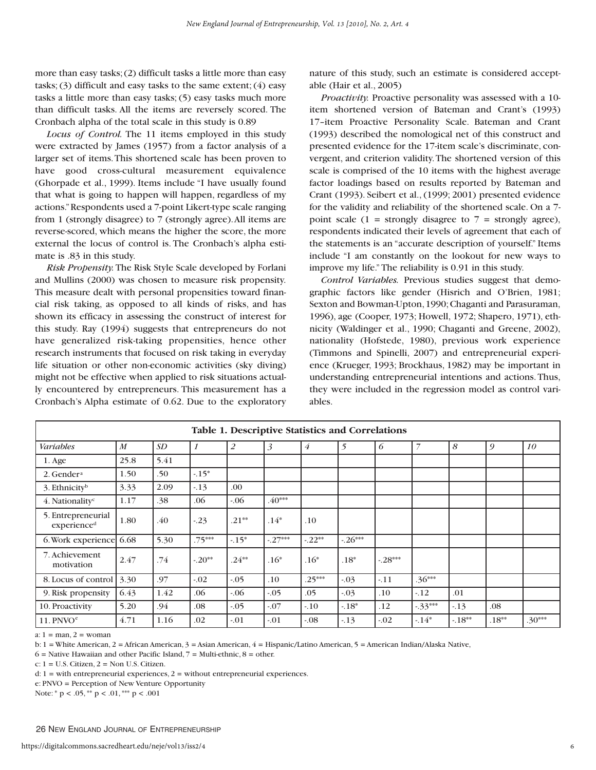more than easy tasks;(2) difficult tasks a little more than easy tasks; (3) difficult and easy tasks to the same extent; (4) easy tasks a little more than easy tasks; (5) easy tasks much more than difficult tasks. All the items are reversely scored. The Cronbach alpha of the total scale in this study is 0.89

*Locus of Control.* The 11 items employed in this study were extracted by James (1957) from a factor analysis of a larger set of items.This shortened scale has been proven to have good cross-cultural measurement equivalence (Ghorpade et al., 1999). Items include "I have usually found that what is going to happen will happen, regardless of my actions."Respondents used a 7-point Likert-type scale ranging from 1 (strongly disagree) to 7 (strongly agree).All items are reverse-scored, which means the higher the score, the more external the locus of control is. The Cronbach's alpha estimate is .83 in this study.

*Risk Propensity.*The Risk Style Scale developed by Forlani and Mullins (2000) was chosen to measure risk propensity. This measure dealt with personal propensities toward financial risk taking, as opposed to all kinds of risks, and has shown its efficacy in assessing the construct of interest for this study. Ray (1994) suggests that entrepreneurs do not have generalized risk-taking propensities, hence other research instruments that focused on risk taking in everyday life situation or other non-economic activities (sky diving) might not be effective when applied to risk situations actually encountered by entrepreneurs. This measurement has a Cronbach's Alpha estimate of 0.62. Due to the exploratory nature of this study, such an estimate is considered acceptable (Hair et al., 2005)

*Proactivity.* Proactive personality was assessed with a 10 item shortened version of Bateman and Crant's (1993) 17–item Proactive Personality Scale. Bateman and Crant (1993) described the nomological net of this construct and presented evidence for the 17-item scale's discriminate, convergent, and criterion validity.The shortened version of this scale is comprised of the 10 items with the highest average factor loadings based on results reported by Bateman and Crant (1993). Seibert et al., (1999; 2001) presented evidence for the validity and reliability of the shortened scale. On a 7 point scale  $(1 =$  strongly disagree to  $7 =$  strongly agree), respondents indicated their levels of agreement that each of the statements is an "accurate description of yourself." Items include "I am constantly on the lookout for new ways to improve my life." The reliability is 0.91 in this study.

*Control Variables.* Previous studies suggest that demographic factors like gender (Hisrich and O'Brien, 1981; Sexton and Bowman-Upton,1990;Chaganti and Parasuraman, 1996), age (Cooper, 1973; Howell, 1972; Shapero, 1971), ethnicity (Waldinger et al., 1990; Chaganti and Greene, 2002), nationality (Hofstede, 1980), previous work experience (Timmons and Spinelli, 2007) and entrepreneurial experience (Krueger, 1993; Brockhaus, 1982) may be important in understanding entrepreneurial intentions and actions.Thus, they were included in the regression model as control variables.

| Table 1. Descriptive Statistics and Correlations |                  |      |          |         |                |                |          |          |                |         |          |          |
|--------------------------------------------------|------------------|------|----------|---------|----------------|----------------|----------|----------|----------------|---------|----------|----------|
| <b>Variables</b>                                 | $\boldsymbol{M}$ | SD   | 1        | 2       | $\overline{3}$ | $\overline{4}$ | 5        | 6        | $\overline{7}$ | 8       | 9        | 10       |
| $1. \text{Age}$                                  | 25.8             | 5.41 |          |         |                |                |          |          |                |         |          |          |
| 2. Gender <sup>a</sup>                           | 1.50             | .50  | $-15*$   |         |                |                |          |          |                |         |          |          |
| $3.$ Ethnicity <sup>b</sup>                      | 3.33             | 2.09 | $-13$    | .00     |                |                |          |          |                |         |          |          |
| 4. Nationality <sup>c</sup>                      | 1.17             | .38  | .06      | $-0.06$ | $.40***$       |                |          |          |                |         |          |          |
| 5. Entrepreneurial<br>experienced                | 1.80             | .40  | $-23$    | $.21**$ | $.14*$         | .10            |          |          |                |         |          |          |
| 6. Work experience 6.68                          |                  | 5.30 | $.75***$ | $-15*$  | $-27***$       | $-22**$        | $-26***$ |          |                |         |          |          |
| 7. Achievement<br>motivation                     | 2.47             | .74  | $-20**$  | $.24**$ | $.16*$         | $.16*$         | $.18*$   | $-28***$ |                |         |          |          |
| 8. Locus of control 3.30                         |                  | .97  | $-.02$   | $-0.05$ | .10            | $.25***$       | $-0.03$  | $-11$    | $.36***$       |         |          |          |
| 9. Risk propensity                               | 6.43             | 1.42 | .06      | $-0.06$ | $-0.05$        | .05            | $-0.03$  | .10      | $-12$          | .01     |          |          |
| 10. Proactivity                                  | 5.20             | .94  | .08      | $-0.05$ | $-0.07$        | $-10$          | $-18*$   | .12      | $-33***$       | $-13$   | .08      |          |
| 11. PNUO <sup>e</sup>                            | 4.71             | 1.16 | .02      | $-.01$  | $-.01$         | $-0.08$        | $-13$    | $-.02$   | $-14*$         | $-18**$ | $.18***$ | $.30***$ |

a:  $1 = \text{man}$ ,  $2 = \text{woman}$ 

b: 1 = White American, 2 = African American, 3 = Asian American, 4 = Hispanic/Latino American, 5 = American Indian/Alaska Native,

 $6$  = Native Hawaiian and other Pacific Island,  $7$  = Multi-ethnic,  $8$  = other.

c: 1 = U.S. Citizen, 2 = Non U.S. Citizen.

d: 1 = with entrepreneurial experiences, 2 = without entrepreneurial experiences.

e: PNVO = Perception of New Venture Opportunity

Note: \* p < .05, \*\* p < .01, \*\*\* p < .001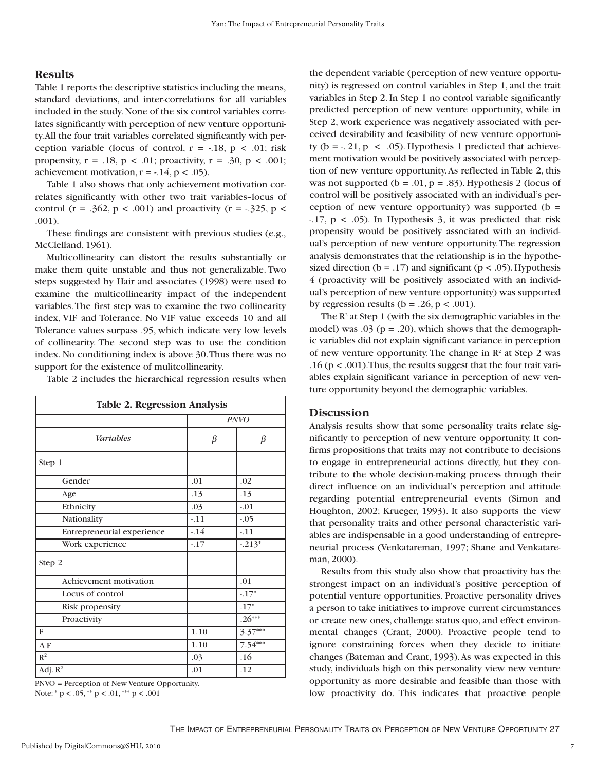#### **Results**

Table 1 reports the descriptive statistics including the means, standard deviations, and inter-correlations for all variables included in the study. None of the six control variables correlates significantly with perception of new venture opportunity.All the four trait variables correlated significantly with perception variable (locus of control,  $r = -.18$ ,  $p < .01$ ; risk propensity,  $r = .18$ ,  $p < .01$ ; proactivity,  $r = .30$ ,  $p < .001$ ; achievement motivation,  $r = -.14$ ,  $p < .05$ ).

Table 1 also shows that only achievement motivation correlates significantly with other two trait variables–locus of control (r = .362,  $p < .001$ ) and proactivity (r = -.325,  $p <$ .001).

These findings are consistent with previous studies (e.g., McClelland, 1961).

Multicollinearity can distort the results substantially or make them quite unstable and thus not generalizable. Two steps suggested by Hair and associates (1998) were used to examine the multicollinearity impact of the independent variables.The first step was to examine the two collinearity index, VIF and Tolerance. No VIF value exceeds 10 and all Tolerance values surpass .95, which indicate very low levels of collinearity. The second step was to use the condition index. No conditioning index is above 30.Thus there was no support for the existence of mulitcollinearity.

Table 2 includes the hierarchical regression results when

| <b>Table 2. Regression Analysis</b> |       |             |  |  |  |  |  |
|-------------------------------------|-------|-------------|--|--|--|--|--|
|                                     |       | <b>PNVO</b> |  |  |  |  |  |
| <i>Variables</i>                    | β     | β           |  |  |  |  |  |
| Step 1                              |       |             |  |  |  |  |  |
| Gender                              | .01   | .02         |  |  |  |  |  |
| Age                                 | .13   | .13         |  |  |  |  |  |
| Ethnicity                           | .03   | $-0.01$     |  |  |  |  |  |
| Nationality                         | $-11$ | $-0.05$     |  |  |  |  |  |
| Entrepreneurial experience          | $-14$ | $-.11$      |  |  |  |  |  |
| Work experience                     | $-17$ | $-213*$     |  |  |  |  |  |
| Step 2                              |       |             |  |  |  |  |  |
| Achievement motivation              |       | .01         |  |  |  |  |  |
| Locus of control                    |       | $-17*$      |  |  |  |  |  |
| Risk propensity                     |       | $.17*$      |  |  |  |  |  |
| Proactivity                         |       | $.26***$    |  |  |  |  |  |
| F                                   | 1.10  | $3.37***$   |  |  |  |  |  |
| $\Delta F$                          | 1.10  | 7.54***     |  |  |  |  |  |
| $\mathbb{R}^2$                      | .03   | .16         |  |  |  |  |  |
| Adj. $R^2$                          | .01   | .12         |  |  |  |  |  |

PNVO = Perception of New Venture Opportunity. Note: \* p < .05, \*\* p < .01, \*\*\* p < .001

the dependent variable (perception of new venture opportunity) is regressed on control variables in Step 1, and the trait variables in Step 2. In Step 1 no control variable significantly predicted perception of new venture opportunity, while in Step 2, work experience was negatively associated with perceived desirability and feasibility of new venture opportunity ( $b = 0.21$ ,  $p < 0.05$ ). Hypothesis 1 predicted that achievement motivation would be positively associated with perception of new venture opportunity.As reflected in Table 2, this was not supported ( $b = .01$ ,  $p = .83$ ). Hypothesis 2 (locus of control will be positively associated with an individual's perception of new venture opportunity) was supported  $(b =$  $-17$ ,  $p < .05$ ). In Hypothesis 3, it was predicted that risk propensity would be positively associated with an individual's perception of new venture opportunity.The regression analysis demonstrates that the relationship is in the hypothesized direction ( $b = .17$ ) and significant ( $p < .05$ ). Hypothesis 4 (proactivity will be positively associated with an individual's perception of new venture opportunity) was supported by regression results ( $b = .26$ ,  $p < .001$ ).

The  $R<sup>2</sup>$  at Step 1 (with the six demographic variables in the model) was  $.03$  ( $p = .20$ ), which shows that the demographic variables did not explain significant variance in perception of new venture opportunity. The change in  $\mathbb{R}^2$  at Step 2 was .16 ( $p < .001$ ). Thus, the results suggest that the four trait variables explain significant variance in perception of new venture opportunity beyond the demographic variables.

#### **Discussion**

Analysis results show that some personality traits relate significantly to perception of new venture opportunity. It confirms propositions that traits may not contribute to decisions to engage in entrepreneurial actions directly, but they contribute to the whole decision-making process through their direct influence on an individual's perception and attitude regarding potential entrepreneurial events (Simon and Houghton, 2002; Krueger, 1993). It also supports the view that personality traits and other personal characteristic variables are indispensable in a good understanding of entrepreneurial process (Venkatareman, 1997; Shane and Venkatareman, 2000).

Results from this study also show that proactivity has the strongest impact on an individual's positive perception of potential venture opportunities. Proactive personality drives a person to take initiatives to improve current circumstances or create new ones, challenge status quo, and effect environmental changes (Crant, 2000). Proactive people tend to ignore constraining forces when they decide to initiate changes (Bateman and Crant, 1993).As was expected in this study, individuals high on this personality view new venture opportunity as more desirable and feasible than those with low proactivity do. This indicates that proactive people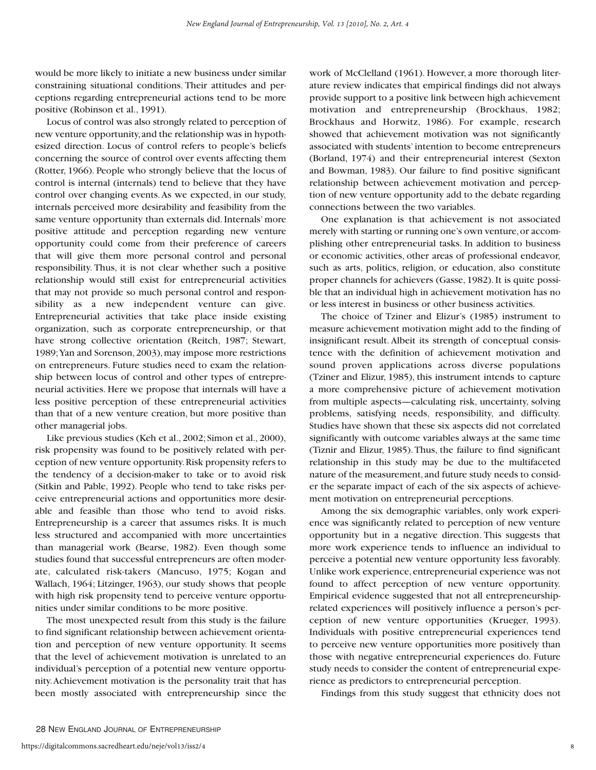would be more likely to initiate a new business under similar constraining situational conditions. Their attitudes and perceptions regarding entrepreneurial actions tend to be more positive (Robinson et al., 1991).

Locus of control was also strongly related to perception of new venture opportunity,and the relationship was in hypothesized direction. Locus of control refers to people's beliefs concerning the source of control over events affecting them (Rotter, 1966). People who strongly believe that the locus of control is internal (internals) tend to believe that they have control over changing events.As we expected, in our study, internals perceived more desirability and feasibility from the same venture opportunity than externals did. Internals' more positive attitude and perception regarding new venture opportunity could come from their preference of careers that will give them more personal control and personal responsibility. Thus, it is not clear whether such a positive relationship would still exist for entrepreneurial activities that may not provide so much personal control and responsibility as a new independent venture can give. Entrepreneurial activities that take place inside existing organization, such as corporate entrepreneurship, or that have strong collective orientation (Reitch, 1987; Stewart, 1989; Yan and Sorenson, 2003), may impose more restrictions on entrepreneurs. Future studies need to exam the relationship between locus of control and other types of entrepreneurial activities. Here we propose that internals will have a less positive perception of these entrepreneurial activities than that of a new venture creation, but more positive than other managerial jobs.

Like previous studies (Keh et al., 2002; Simon et al., 2000), risk propensity was found to be positively related with perception of new venture opportunity.Risk propensity refers to the tendency of a decision-maker to take or to avoid risk (Sitkin and Pable, 1992). People who tend to take risks perceive entrepreneurial actions and opportunities more desirable and feasible than those who tend to avoid risks. Entrepreneurship is a career that assumes risks. It is much less structured and accompanied with more uncertainties than managerial work (Bearse, 1982). Even though some studies found that successful entrepreneurs are often moderate, calculated risk-takers (Mancuso, 1975; Kogan and Wallach, 1964; Litzinger, 1963), our study shows that people with high risk propensity tend to perceive venture opportunities under similar conditions to be more positive.

The most unexpected result from this study is the failure to find significant relationship between achievement orientation and perception of new venture opportunity. It seems that the level of achievement motivation is unrelated to an individual's perception of a potential new venture opportunity.Achievement motivation is the personality trait that has been mostly associated with entrepreneurship since the

work of McClelland (1961). However, a more thorough literature review indicates that empirical findings did not always provide support to a positive link between high achievement motivation and entrepreneurship (Brockhaus, 1982; Brockhaus and Horwitz, 1986). For example, research showed that achievement motivation was not significantly associated with students' intention to become entrepreneurs (Borland, 1974) and their entrepreneurial interest (Sexton and Bowman, 1983). Our failure to find positive significant relationship between achievement motivation and perception of new venture opportunity add to the debate regarding connections between the two variables.

One explanation is that achievement is not associated merely with starting or running one's own venture,or accomplishing other entrepreneurial tasks. In addition to business or economic activities, other areas of professional endeavor, such as arts, politics, religion, or education, also constitute proper channels for achievers (Gasse, 1982). It is quite possible that an individual high in achievement motivation has no or less interest in business or other business activities.

The choice of Tziner and Elizur's (1985) instrument to measure achievement motivation might add to the finding of insignificant result. Albeit its strength of conceptual consistence with the definition of achievement motivation and sound proven applications across diverse populations (Tziner and Elizur, 1985), this instrument intends to capture a more comprehensive picture of achievement motivation from multiple aspects—calculating risk, uncertainty, solving problems, satisfying needs, responsibility, and difficulty. Studies have shown that these six aspects did not correlated significantly with outcome variables always at the same time (Tiznir and Elizur, 1985).Thus, the failure to find significant relationship in this study may be due to the multifaceted nature of the measurement,and future study needs to consider the separate impact of each of the six aspects of achievement motivation on entrepreneurial perceptions.

Among the six demographic variables, only work experience was significantly related to perception of new venture opportunity but in a negative direction. This suggests that more work experience tends to influence an individual to perceive a potential new venture opportunity less favorably. Unlike work experience,entrepreneurial experience was not found to affect perception of new venture opportunity. Empirical evidence suggested that not all entrepreneurshiprelated experiences will positively influence a person's perception of new venture opportunities (Krueger, 1993). Individuals with positive entrepreneurial experiences tend to perceive new venture opportunities more positively than those with negative entrepreneurial experiences do. Future study needs to consider the content of entrepreneurial experience as predictors to entrepreneurial perception.

Findings from this study suggest that ethnicity does not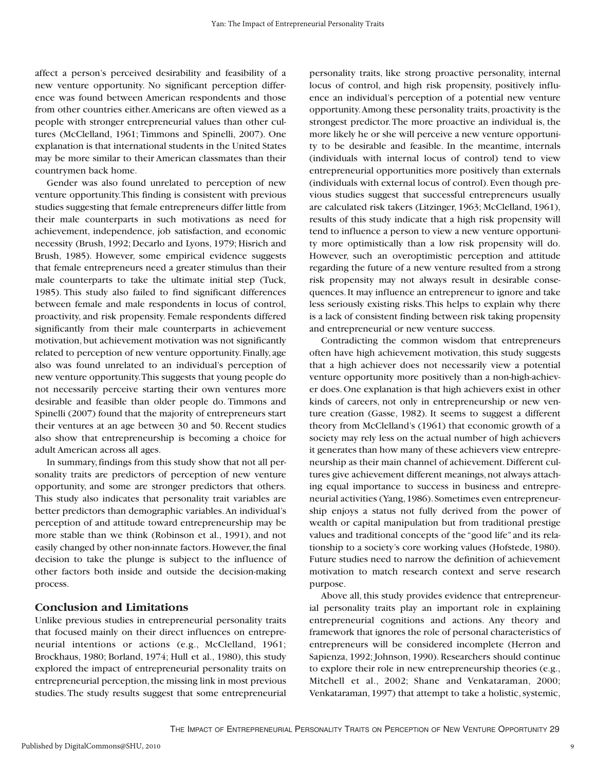affect a person's perceived desirability and feasibility of a new venture opportunity. No significant perception difference was found between American respondents and those from other countries either.Americans are often viewed as a people with stronger entrepreneurial values than other cultures (McClelland, 1961; Timmons and Spinelli, 2007). One explanation is that international students in the United States may be more similar to their American classmates than their countrymen back home.

Gender was also found unrelated to perception of new venture opportunity.This finding is consistent with previous studies suggesting that female entrepreneurs differ little from their male counterparts in such motivations as need for achievement, independence, job satisfaction, and economic necessity (Brush, 1992; Decarlo and Lyons, 1979; Hisrich and Brush, 1985). However, some empirical evidence suggests that female entrepreneurs need a greater stimulus than their male counterparts to take the ultimate initial step (Tuck, 1985). This study also failed to find significant differences between female and male respondents in locus of control, proactivity, and risk propensity. Female respondents differed significantly from their male counterparts in achievement motivation, but achievement motivation was not significantly related to perception of new venture opportunity.Finally,age also was found unrelated to an individual's perception of new venture opportunity.This suggests that young people do not necessarily perceive starting their own ventures more desirable and feasible than older people do. Timmons and Spinelli (2007) found that the majority of entrepreneurs start their ventures at an age between 30 and 50. Recent studies also show that entrepreneurship is becoming a choice for adult American across all ages.

In summary,findings from this study show that not all personality traits are predictors of perception of new venture opportunity, and some are stronger predictors that others. This study also indicates that personality trait variables are better predictors than demographic variables.An individual's perception of and attitude toward entrepreneurship may be more stable than we think (Robinson et al., 1991), and not easily changed by other non-innate factors. However, the final decision to take the plunge is subject to the influence of other factors both inside and outside the decision-making process.

#### **Conclusion and Limitations**

Unlike previous studies in entrepreneurial personality traits that focused mainly on their direct influences on entrepreneurial intentions or actions (e.g., McClelland, 1961; Brockhaus, 1980; Borland, 1974; Hull et al., 1980), this study explored the impact of entrepreneurial personality traits on entrepreneurial perception, the missing link in most previous studies.The study results suggest that some entrepreneurial

personality traits, like strong proactive personality, internal locus of control, and high risk propensity, positively influence an individual's perception of a potential new venture opportunity.Among these personality traits, proactivity is the strongest predictor.The more proactive an individual is, the more likely he or she will perceive a new venture opportunity to be desirable and feasible. In the meantime, internals (individuals with internal locus of control) tend to view entrepreneurial opportunities more positively than externals (individuals with external locus of control).Even though previous studies suggest that successful entrepreneurs usually are calculated risk takers (Litzinger, 1963; McClelland, 1961), results of this study indicate that a high risk propensity will tend to influence a person to view a new venture opportunity more optimistically than a low risk propensity will do. However, such an overoptimistic perception and attitude regarding the future of a new venture resulted from a strong risk propensity may not always result in desirable consequences.It may influence an entrepreneur to ignore and take less seriously existing risks.This helps to explain why there is a lack of consistent finding between risk taking propensity and entrepreneurial or new venture success.

Contradicting the common wisdom that entrepreneurs often have high achievement motivation, this study suggests that a high achiever does not necessarily view a potential venture opportunity more positively than a non-high-achiever does. One explanation is that high achievers exist in other kinds of careers, not only in entrepreneurship or new venture creation (Gasse, 1982). It seems to suggest a different theory from McClelland's (1961) that economic growth of a society may rely less on the actual number of high achievers it generates than how many of these achievers view entrepreneurship as their main channel of achievement.Different cultures give achievement different meanings, not always attaching equal importance to success in business and entrepreneurial activities (Yang, 1986). Sometimes even entrepreneurship enjoys a status not fully derived from the power of wealth or capital manipulation but from traditional prestige values and traditional concepts of the "good life" and its relationship to a society's core working values (Hofstede, 1980). Future studies need to narrow the definition of achievement motivation to match research context and serve research purpose.

Above all, this study provides evidence that entrepreneurial personality traits play an important role in explaining entrepreneurial cognitions and actions. Any theory and framework that ignores the role of personal characteristics of entrepreneurs will be considered incomplete (Herron and Sapienza, 1992; Johnson, 1990). Researchers should continue to explore their role in new entrepreneurship theories (e.g., Mitchell et al., 2002; Shane and Venkataraman, 2000; Venkataraman, 1997) that attempt to take a holistic, systemic,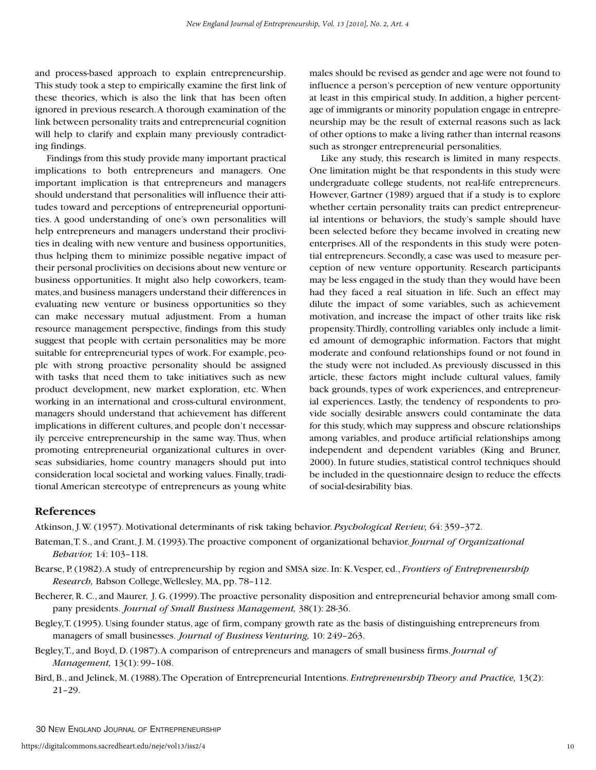and process-based approach to explain entrepreneurship. This study took a step to empirically examine the first link of these theories, which is also the link that has been often ignored in previous research.A thorough examination of the link between personality traits and entrepreneurial cognition will help to clarify and explain many previously contradicting findings.

Findings from this study provide many important practical implications to both entrepreneurs and managers. One important implication is that entrepreneurs and managers should understand that personalities will influence their attitudes toward and perceptions of entrepreneurial opportunities. A good understanding of one's own personalities will help entrepreneurs and managers understand their proclivities in dealing with new venture and business opportunities, thus helping them to minimize possible negative impact of their personal proclivities on decisions about new venture or business opportunities. It might also help coworkers, teammates, and business managers understand their differences in evaluating new venture or business opportunities so they can make necessary mutual adjustment. From a human resource management perspective, findings from this study suggest that people with certain personalities may be more suitable for entrepreneurial types of work. For example, people with strong proactive personality should be assigned with tasks that need them to take initiatives such as new product development, new market exploration, etc. When working in an international and cross-cultural environment, managers should understand that achievement has different implications in different cultures, and people don't necessarily perceive entrepreneurship in the same way. Thus, when promoting entrepreneurial organizational cultures in overseas subsidiaries, home country managers should put into consideration local societal and working values. Finally, traditional American stereotype of entrepreneurs as young white

males should be revised as gender and age were not found to influence a person's perception of new venture opportunity at least in this empirical study. In addition, a higher percentage of immigrants or minority population engage in entrepreneurship may be the result of external reasons such as lack of other options to make a living rather than internal reasons such as stronger entrepreneurial personalities.

Like any study, this research is limited in many respects. One limitation might be that respondents in this study were undergraduate college students, not real-life entrepreneurs. However, Gartner (1989) argued that if a study is to explore whether certain personality traits can predict entrepreneurial intentions or behaviors, the study's sample should have been selected before they became involved in creating new enterprises.All of the respondents in this study were potential entrepreneurs. Secondly, a case was used to measure perception of new venture opportunity. Research participants may be less engaged in the study than they would have been had they faced a real situation in life. Such an effect may dilute the impact of some variables, such as achievement motivation, and increase the impact of other traits like risk propensity.Thirdly, controlling variables only include a limited amount of demographic information. Factors that might moderate and confound relationships found or not found in the study were not included.As previously discussed in this article, these factors might include cultural values, family back grounds, types of work experiences, and entrepreneurial experiences. Lastly, the tendency of respondents to provide socially desirable answers could contaminate the data for this study, which may suppress and obscure relationships among variables, and produce artificial relationships among independent and dependent variables (King and Bruner, 2000). In future studies, statistical control techniques should be included in the questionnaire design to reduce the effects of social-desirability bias.

#### **References**

Atkinson, J.W. (1957). Motivational determinants of risk taking behavior. *Psychological Review,* 64: 359–372.

- Bateman,T. S., and Crant, J. M. (1993).The proactive component of organizational behavior.*Journal of Organizational Behavior,* 14: 103–118.
- Bearse, P. (1982).A study of entrepreneurship by region and SMSA size. In: K.Vesper, ed., *Frontiers of Entrepreneurship Research,* Babson College,Wellesley, MA, pp. 78–112.
- Becherer, R. C., and Maurer, J. G. (1999).The proactive personality disposition and entrepreneurial behavior among small company presidents. *Journal of Small Business Management,* 38(1): 28-36.
- Begley,T. (1995). Using founder status, age of firm, company growth rate as the basis of distinguishing entrepreneurs from managers of small businesses. *Journal of Business Venturing,* 10: 249–263.
- Begley,T., and Boyd, D. (1987).A comparison of entrepreneurs and managers of small business firms.*Journal of Management,* 13(1): 99–108.
- Bird, B., and Jelinek, M.(1988).The Operation of Entrepreneurial Intentions. *Entrepreneurship Theory and Practice,* 13(2): 21–29.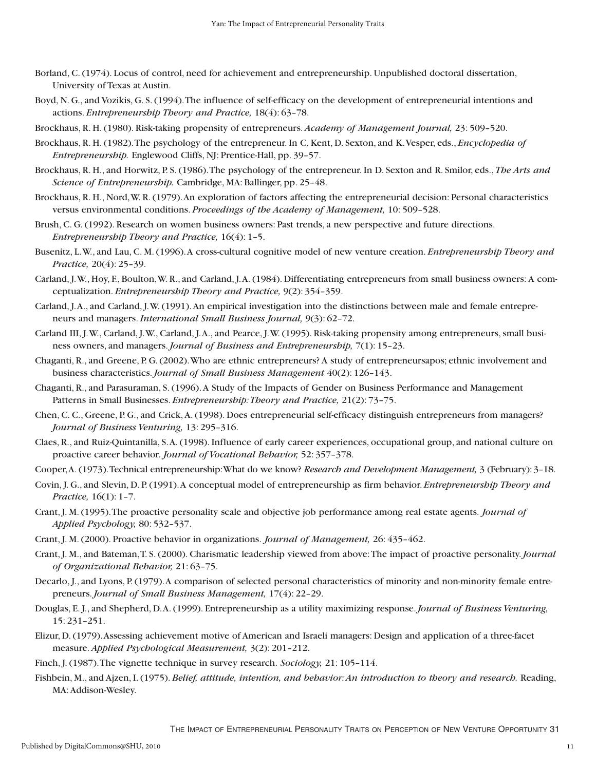- Borland, C. (1974). Locus of control, need for achievement and entrepreneurship. Unpublished doctoral dissertation, University of Texas at Austin.
- Boyd, N. G., and Vozikis, G. S. (1994).The influence of self-efficacy on the development of entrepreneurial intentions and actions. *Entrepreneurship Theory and Practice,* 18(4): 63–78.
- Brockhaus, R. H. (1980). Risk-taking propensity of entrepreneurs. *Academy of Management Journal,* 23: 509–520.
- Brockhaus, R. H. (1982).The psychology of the entrepreneur. In C. Kent, D. Sexton, and K.Vesper, eds., *Encyclopedia of Entrepreneurship.* Englewood Cliffs, NJ: Prentice-Hall, pp. 39–57.
- Brockhaus, R. H., and Horwitz, P. S. (1986).The psychology of the entrepreneur. In D. Sexton and R. Smilor, eds., *The Arts and Science of Entrepreneurship.* Cambridge, MA: Ballinger, pp. 25–48.
- Brockhaus, R. H., Nord,W. R. (1979).An exploration of factors affecting the entrepreneurial decision: Personal characteristics versus environmental conditions. *Proceedings of the Academy of Management,* 10: 509–528.
- Brush, C. G. (1992). Research on women business owners: Past trends, a new perspective and future directions. *Entrepreneurship Theory and Practice,* 16(4): 1–5.
- Busenitz, L.W., and Lau, C. M. (1996).A cross-cultural cognitive model of new venture creation. *Entrepreneurship Theory and Practice,* 20(4): 25–39.
- Carland, J.W., Hoy, F., Boulton,W. R., and Carland, J.A. (1984). Differentiating entrepreneurs from small business owners: A comceptualization. *Entrepreneurship Theory and Practice,* 9(2): 354–359.
- Carland, J.A., and Carland, J.W. (1991).An empirical investigation into the distinctions between male and female entrepreneurs and managers.*International Small Business Journal,* 9(3): 62–72.
- Carland III, J.W., Carland, J.W., Carland, J.A., and Pearce, J.W. (1995). Risk-taking propensity among entrepreneurs, small business owners, and managers.*Journal of Business and Entrepreneurship,* 7(1): 15–23.
- Chaganti, R., and Greene, P. G. (2002).Who are ethnic entrepreneurs? A study of entrepreneursapos; ethnic involvement and business characteristics.*Journal of Small Business Management* 40(2): 126–143.
- Chaganti, R., and Parasuraman, S. (1996).A Study of the Impacts of Gender on Business Performance and Management Patterns in Small Businesses. *Entrepreneurship:Theory and Practice,* 21(2): 73–75.
- Chen, C. C., Greene, P. G., and Crick,A. (1998). Does entrepreneurial self-efficacy distinguish entrepreneurs from managers? *Journal of Business Venturing,* 13: 295–316.
- Claes, R., and Ruiz-Quintanilla, S.A.(1998). Influence of early career experiences, occupational group, and national culture on proactive career behavior. *Journal of Vocational Behavior,* 52: 357–378.

Cooper,A. (1973).Technical entrepreneurship:What do we know? *Research and Development Management,* 3 (February): 3–18.

- Covin, J. G., and Slevin, D. P. (1991).A conceptual model of entrepreneurship as firm behavior. *Entrepreneurship Theory and Practice,* 16(1): 1–7.
- Crant, J. M. (1995).The proactive personality scale and objective job performance among real estate agents. *Journal of Applied Psychology,* 80: 532–537.
- Crant, J. M. (2000). Proactive behavior in organizations. *Journal of Management,* 26: 435–462.
- Crant, J. M., and Bateman,T. S. (2000). Charismatic leadership viewed from above:The impact of proactive personality.*Journal of Organizational Behavior,* 21: 63–75.
- Decarlo, J., and Lyons, P. (1979).A comparison of selected personal characteristics of minority and non-minority female entrepreneurs.*Journal of Small Business Management,* 17(4): 22–29.
- Douglas, E. J., and Shepherd, D.A. (1999). Entrepreneurship as a utility maximizing response.*Journal of Business Venturing,* 15: 231–251.
- Elizur, D. (1979).Assessing achievement motive of American and Israeli managers: Design and application of a three-facet measure. *Applied Psychological Measurement,* 3(2): 201–212.
- Finch, J. (1987).The vignette technique in survey research. *Sociology,* 21: 105–114.
- Fishbein, M., and Ajzen, I. (1975). *Belief, attitude, intention, and behavior:An introduction to theory and research.* Reading, MA:Addison-Wesley.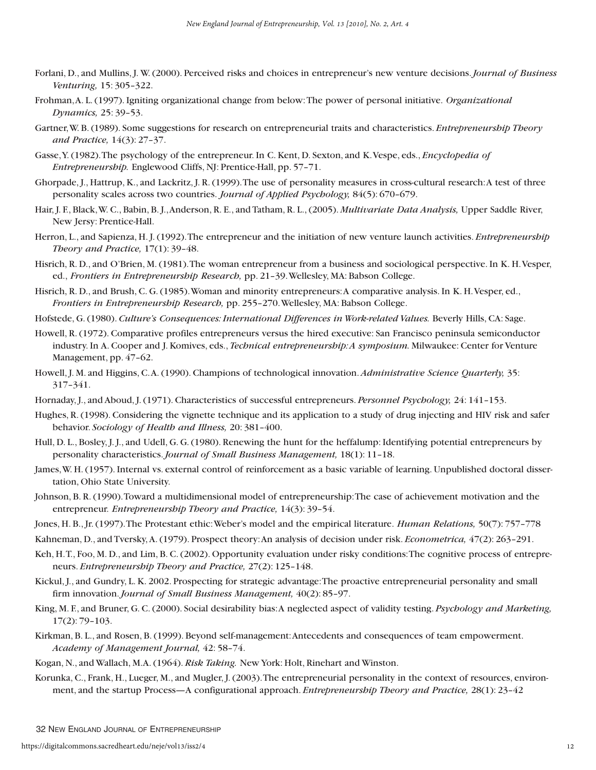- Forlani, D., and Mullins, J. W. (2000). Perceived risks and choices in entrepreneur's new venture decisions.*Journal of Business Venturing,* 15: 305–322.
- Frohman,A. L. (1997). Igniting organizational change from below:The power of personal initiative. *Organizational Dynamics,* 25: 39–53.
- Gartner,W. B. (1989). Some suggestions for research on entrepreneurial traits and characteristics. *Entrepreneurship Theory and Practice,* 14(3): 27–37.
- Gasse,Y. (1982).The psychology of the entrepreneur. In C. Kent, D. Sexton, and K.Vespe, eds., *Encyclopedia of Entrepreneurship.* Englewood Cliffs, NJ: Prentice-Hall, pp. 57–71.
- Ghorpade, J., Hattrup, K., and Lackritz, J. R. (1999).The use of personality measures in cross-cultural research:A test of three personality scales across two countries. *Journal of Applied Psychology,* 84(5): 670–679.
- Hair, J. F., Black,W. C., Babin, B. J.,Anderson, R. E., and Tatham, R. L., (2005). *Multivariate Data Analysis,* Upper Saddle River, New Jersy: Prentice-Hall.
- Herron, L., and Sapienza, H. J. (1992).The entrepreneur and the initiation of new venture launch activities. *Entrepreneurship Theory and Practice,* 17(1): 39–48.
- Hisrich, R. D., and O'Brien, M. (1981).The woman entrepreneur from a business and sociological perspective. In K. H.Vesper, ed., *Frontiers in Entrepreneurship Research,* pp. 21–39.Wellesley, MA: Babson College.
- Hisrich, R. D., and Brush, C. G. (1985).Woman and minority entrepreneurs:A comparative analysis. In K. H.Vesper, ed., *Frontiers in Entrepreneurship Research,* pp. 255–270.Wellesley, MA: Babson College.
- Hofstede, G. (1980). *Culture's Consequences: International Differences in Work-related Values.* Beverly Hills, CA: Sage.
- Howell, R. (1972). Comparative profiles entrepreneurs versus the hired executive: San Francisco peninsula semiconductor industry. In A. Cooper and J. Komives, eds., *Technical entrepreneurship:A symposium.* Milwaukee: Center for Venture Management, pp. 47–62.
- Howell, J. M. and Higgins, C.A. (1990). Champions of technological innovation. *Administrative Science Quarterly,* 35: 317–341.
- Hornaday, J., and Aboud, J. (1971). Characteristics of successful entrepreneurs. *Personnel Psychology,* 24: 141–153.
- Hughes, R. (1998). Considering the vignette technique and its application to a study of drug injecting and HIV risk and safer behavior. *Sociology of Health and Illness,* 20: 381–400.
- Hull, D. L., Bosley, J. J., and Udell, G. G. (1980). Renewing the hunt for the heffalump: Identifying potential entrepreneurs by personality characteristics.*Journal of Small Business Management,* 18(1): 11–18.
- James,W. H. (1957). Internal vs. external control of reinforcement as a basic variable of learning. Unpublished doctoral dissertation, Ohio State University.
- Johnson, B. R. (1990).Toward a multidimensional model of entrepreneurship:The case of achievement motivation and the entrepreneur. *Entrepreneurship Theory and Practice,* 14(3): 39–54.
- Jones, H. B., Jr. (1997).The Protestant ethic:Weber's model and the empirical literature. *Human Relations,* 50(7): 757–778
- Kahneman, D., and Tversky,A. (1979). Prospect theory:An analysis of decision under risk. *Econometrica,* 47(2): 263–291.
- Keh, H.T., Foo, M. D., and Lim, B. C. (2002). Opportunity evaluation under risky conditions:The cognitive process of entrepreneurs. *Entrepreneurship Theory and Practice,* 27(2): 125–148.
- Kickul, J., and Gundry, L. K. 2002. Prospecting for strategic advantage:The proactive entrepreneurial personality and small firm innovation.*Journal of Small Business Management,* 40(2): 85–97.
- King, M. F., and Bruner, G. C. (2000). Social desirability bias:A neglected aspect of validity testing. *Psychology and Marketing,* 17(2): 79–103.
- Kirkman, B. L., and Rosen, B. (1999). Beyond self-management:Antecedents and consequences of team empowerment. *Academy of Management Journal,* 42: 58–74.
- Kogan, N., and Wallach, M.A. (1964). *Risk Taking.* New York: Holt, Rinehart and Winston.
- Korunka, C., Frank, H., Lueger, M., and Mugler, J. (2003).The entrepreneurial personality in the context of resources, environment, and the startup Process—A configurational approach. *Entrepreneurship Theory and Practice,* 28(1): 23–42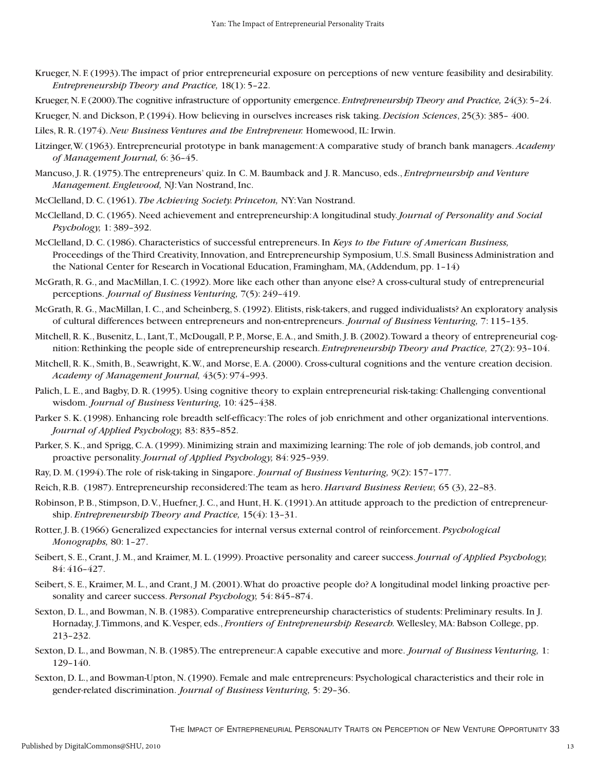- Krueger, N. F. (1993). The impact of prior entrepreneurial exposure on perceptions of new venture feasibility and desirability. *Entrepreneurship Theory and Practice,* 18(1): 5–22.
- Krueger, N. F. (2000).The cognitive infrastructure of opportunity emergence.*Entrepreneurship Theory and Practice,* 24(3): 5–24.
- Krueger, N. and Dickson, P. (1994). How believing in ourselves increases risk taking. *Decision Sciences*, 25(3): 385– 400.

Liles, R. R. (1974).*New Business Ventures and the Entrepreneur.* Homewood, IL: Irwin.

- Litzinger,W. (1963). Entrepreneurial prototype in bank management:A comparative study of branch bank managers. *Academy of Management Journal,* 6: 36–45.
- Mancuso, J. R. (1975).The entrepreneurs' quiz. In C. M. Baumback and J. R. Mancuso, eds., *Entreprneurship and Venture Management. Englewood,* NJ:Van Nostrand, Inc.
- McClelland, D. C. (1961). *The Achieving Society. Princeton,* NY:Van Nostrand.
- McClelland, D. C. (1965). Need achievement and entrepreneurship:A longitudinal study.*Journal of Personality and Social Psychology,* 1: 389–392.
- McClelland, D. C. (1986). Characteristics of successful entrepreneurs. In *Keys to the Future of American Business,* Proceedings of the Third Creativity, Innovation, and Entrepreneurship Symposium, U.S. Small Business Administration and the National Center for Research in Vocational Education, Framingham, MA, (Addendum, pp. 1–14)
- McGrath, R. G., and MacMillan, I. C. (1992). More like each other than anyone else? A cross-cultural study of entrepreneurial perceptions. *Journal of Business Venturing,* 7(5): 249–419.
- McGrath, R. G., MacMillan, I. C., and Scheinberg, S. (1992). Elitists, risk-takers, and rugged individualists? An exploratory analysis of cultural differences between entrepreneurs and non-entrepreneurs. *Journal of Business Venturing,* 7: 115–135.
- Mitchell, R. K., Busenitz, L., Lant,T., McDougall, P. P., Morse, E.A., and Smith, J. B. (2002).Toward a theory of entrepreneurial cognition: Rethinking the people side of entrepreneurship research. *Entrepreneurship Theory and Practice,* 27(2): 93–104.
- Mitchell, R. K., Smith, B., Seawright, K.W., and Morse, E.A. (2000). Cross-cultural cognitions and the venture creation decision. *Academy of Management Journal,* 43(5): 974–993.
- Palich, L. E., and Bagby, D. R. (1995). Using cognitive theory to explain entrepreneurial risk-taking: Challenging conventional wisdom. *Journal of Business Venturing,* 10: 425–438.
- Parker S. K. (1998). Enhancing role breadth self-efficacy:The roles of job enrichment and other organizational interventions. *Journal of Applied Psychology,* 83: 835–852.
- Parker, S. K., and Sprigg, C.A. (1999). Minimizing strain and maximizing learning: The role of job demands, job control, and proactive personality.*Journal of Applied Psychology,* 84: 925–939.
- Ray, D. M. (1994).The role of risk-taking in Singapore. *Journal of Business Venturing,* 9(2): 157–177.
- Reich, R.B. (1987). Entrepreneurship reconsidered:The team as hero. *Harvard Business Review,* 65 (3), 22–83.
- Robinson, P. B., Stimpson, D.V., Huefner, J. C., and Hunt, H. K. (1991).An attitude approach to the prediction of entrepreneurship. *Entrepreneurship Theory and Practice,* 15(4): 13–31.
- Rotter, J. B. (1966) Generalized expectancies for internal versus external control of reinforcement. *Psychological Monographs,* 80: 1–27.
- Seibert, S. E., Crant, J. M., and Kraimer, M. L. (1999). Proactive personality and career success.*Journal of Applied Psychology,* 84: 416–427.
- Seibert, S. E., Kraimer, M. L., and Crant, J M. (2001).What do proactive people do? A longitudinal model linking proactive personality and career success. *Personal Psychology,* 54: 845–874.
- Sexton, D. L., and Bowman, N. B. (1983). Comparative entrepreneurship characteristics of students: Preliminary results. In J. Hornaday, J.Timmons, and K.Vesper, eds., *Frontiers of Entrepreneurship Research.* Wellesley, MA: Babson College, pp. 213–232.
- Sexton, D. L., and Bowman, N. B. (1985).The entrepreneur:A capable executive and more. *Journal of Business Venturing,* 1: 129–140.
- Sexton, D. L., and Bowman-Upton, N. (1990). Female and male entrepreneurs: Psychological characteristics and their role in gender-related discrimination. *Journal of Business Venturing,* 5: 29–36.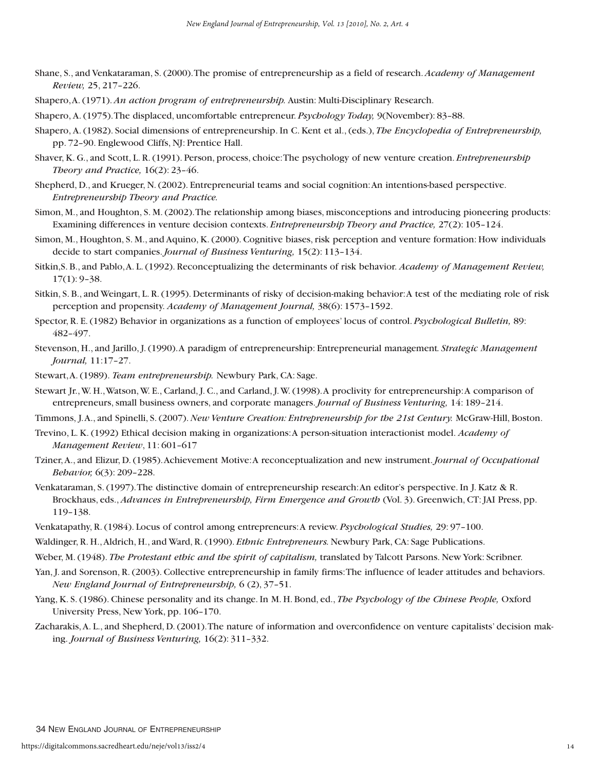- Shane, S., and Venkataraman, S. (2000).The promise of entrepreneurship as a field of research. *Academy of Management Review,* 25, 217–226.
- Shapero,A. (1971). *An action program of entrepreneurship.* Austin: Multi-Disciplinary Research.
- Shapero, A. (1975).The displaced, uncomfortable entrepreneur. *Psychology Today,* 9(November): 83–88.
- Shapero, A. (1982). Social dimensions of entrepreneurship. In C. Kent et al., (eds.), *The Encyclopedia of Entrepreneurship,* pp. 72–90. Englewood Cliffs, NJ: Prentice Hall.
- Shaver, K. G., and Scott, L. R. (1991). Person, process, choice:The psychology of new venture creation. *Entrepreneurship Theory and Practice,* 16(2): 23–46.
- Shepherd, D., and Krueger, N. (2002). Entrepreneurial teams and social cognition:An intentions-based perspective. *Entrepreneurship Theory and Practice.*
- Simon, M., and Houghton, S. M. (2002). The relationship among biases, misconceptions and introducing pioneering products: Examining differences in venture decision contexts. *Entrepreneurship Theory and Practice,* 27(2): 105–124.
- Simon, M., Houghton, S. M., and Aquino, K. (2000). Cognitive biases, risk perception and venture formation: How individuals decide to start companies.*Journal of Business Venturing,* 15(2): 113–134.
- Sitkin,S. B., and Pablo,A. L. (1992). Reconceptualizing the determinants of risk behavior. *Academy of Management Review,* 17(1): 9–38.
- Sitkin, S. B., and Weingart, L. R. (1995). Determinants of risky of decision-making behavior:A test of the mediating role of risk perception and propensity. *Academy of Management Journal,* 38(6): 1573–1592.
- Spector, R. E. (1982) Behavior in organizations as a function of employees' locus of control. *Psychological Bulletin,* 89: 482–497.
- Stevenson, H., and Jarillo, J. (1990).A paradigm of entrepreneurship: Entrepreneurial management*. Strategic Management Journal,* 11:17–27.
- Stewart,A. (1989). *Team entrepreneurship.* Newbury Park, CA: Sage.
- Stewart Jr.,W. H.,Watson,W. E., Carland, J. C., and Carland, J.W. (1998).A proclivity for entrepreneurship:A comparison of entrepreneurs, small business owners, and corporate managers.*Journal of Business Venturing,* 14: 189–214.
- Timmons, J.A., and Spinelli, S. (2007).*New Venture Creation: Entrepreneurship for the 21st Century.* McGraw-Hill, Boston.
- Trevino, L. K.(1992) Ethical decision making in organizations:A person-situation interactionist model. *Academy of Management Review*, 11: 601–617
- Tziner,A., and Elizur, D. (1985).Achievement Motive:A reconceptualization and new instrument.*Journal of Occupational Behavior,* 6(3): 209–228.
- Venkataraman, S.(1997).The distinctive domain of entrepreneurship research:An editor's perspective. In J. Katz & R. Brockhaus, eds., *Advances in Entrepreneurship, Firm Emergence and Growth* (Vol. 3). Greenwich, CT: JAI Press, pp. 119–138.
- Venkatapathy, R. (1984). Locus of control among entrepreneurs:A review. *Psychological Studies,* 29: 97–100.
- Waldinger, R. H.,Aldrich, H., and Ward, R. (1990). *Ethnic Entrepreneurs.* Newbury Park, CA: Sage Publications.
- Weber, M. (1948). *The Protestant ethic and the spirit of capitalism,* translated by Talcott Parsons. New York: Scribner.
- Yan, J. and Sorenson, R. (2003). Collective entrepreneurship in family firms:The influence of leader attitudes and behaviors. *New England Journal of Entrepreneurship,* 6 (2), 37–51.
- Yang, K. S. (1986). Chinese personality and its change. In M. H. Bond, ed., *The Psychology of the Chinese People,* Oxford University Press, New York, pp. 106–170.
- Zacharakis,A. L., and Shepherd, D. (2001).The nature of information and overconfidence on venture capitalists' decision making. *Journal of Business Venturing,* 16(2): 311–332.